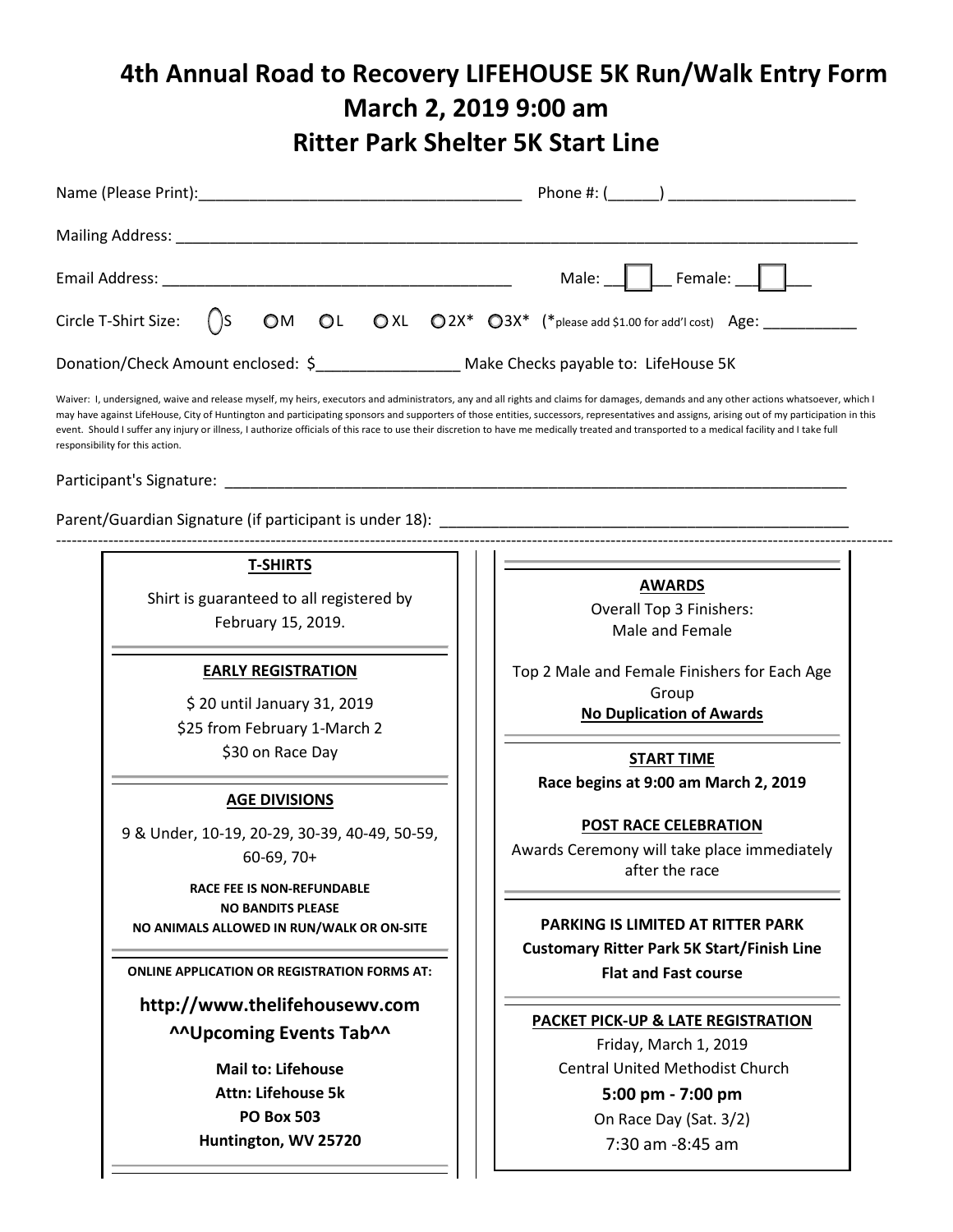# **4th Annual Road to Recovery LIFEHOUSE 5K Run/Walk Entry Form March 2, 2019 9:00 am Ritter Park Shelter 5K Start Line**

|                                                                                                                                                                                        |  |  |  |  |  |  |  | Male: Female: 1 |  |  |  |
|----------------------------------------------------------------------------------------------------------------------------------------------------------------------------------------|--|--|--|--|--|--|--|-----------------|--|--|--|
| Circle T-Shirt Size: $\bigcap$ S OM OL OXL O2X* O3X* (*please add \$1.00 for add'l cost) Age: ___________                                                                              |  |  |  |  |  |  |  |                 |  |  |  |
|                                                                                                                                                                                        |  |  |  |  |  |  |  |                 |  |  |  |
| Waiver: I, undersigned, waive and release myself, my heirs, executors and administrators, any and all rights and claims for damages, demands and any other actions whatsoever, which I |  |  |  |  |  |  |  |                 |  |  |  |

may have against LifeHouse, City of Huntington and participating sponsors and supporters of those entities, successors, representatives and assigns, arising out of my participation in this event. Should I suffer any injury or illness, I authorize officials of this race to use their discretion to have me medically treated and transported to a medical facility and I take full responsibility for this action.

----------------------------------------------------------------------------------------------------------------------------------------------------------------

Participant's Signature:

Parent/Guardian Signature (if participant is under 18): \_\_\_\_\_\_

## **T-SHIRTS**

Shirt is guaranteed to all registered by February 15, 2019.

## **EARLY REGISTRATION**

\$ 20 until January 31, 2019 \$25 from February 1-March 2 \$30 on Race Day

#### **AGE DIVISIONS**

9 & Under, 10-19, 20-29, 30-39, 40-49, 50-59, 60-69, 70+

**RACE FEE IS NON-REFUNDABLE NO BANDITS PLEASE NO ANIMALS ALLOWED IN RUN/WALK OR ON-SITE**

**ONLINE APPLICATION OR REGISTRATION FORMS AT:**

**http://www.thelifehousewv.com ^^Upcoming Events Tab^^**

> **Mail to: Lifehouse Attn: Lifehouse 5k PO Box 503 Huntington, WV 25720**

#### **AWARDS**

Overall Top 3 Finishers: Male and Female

Top 2 Male and Female Finishers for Each Age Group

**No Duplication of Awards**

**START TIME Race begins at 9:00 am March 2, 2019**

#### **POST RACE CELEBRATION**

Awards Ceremony will take place immediately after the race

**PARKING IS LIMITED AT RITTER PARK Customary Ritter Park 5K Start/Finish Line Flat and Fast course**

#### **PACKET PICK-UP & LATE REGISTRATION**

Friday, March 1, 2019 Central United Methodist Church **5:00 pm - 7:00 pm**

On Race Day (Sat. 3/2) 7:30 am -8:45 am